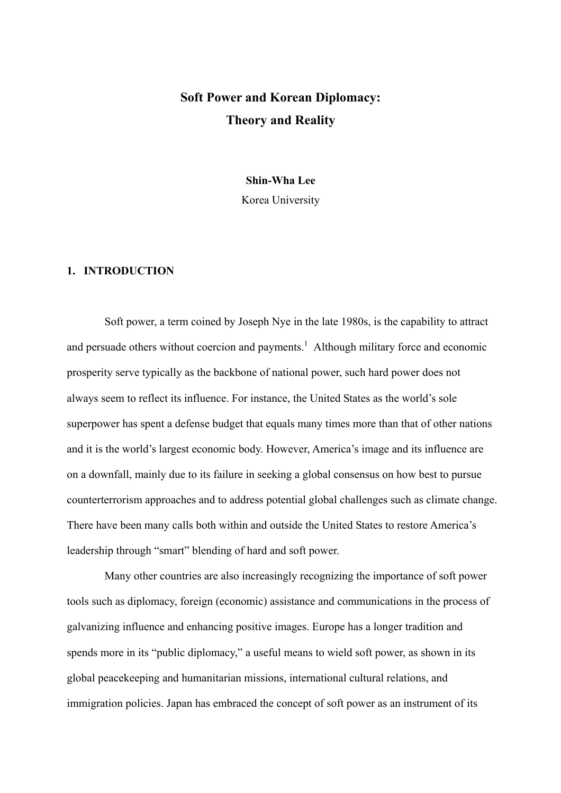# **Soft Power and Korean Diplomacy: Theory and Reality**

**Shin-Wha Lee** 

Korea University

# **1. INTRODUCTION**

Soft power, a term coined by Joseph Nye in the late 1980s, is the capability to attract and persuade others without coercion and payments.<sup>1</sup> Although military force and economic prosperity serve typically as the backbone of national power, such hard power does not always seem to reflect its influence. For instance, the United States as the world's sole superpower has spent a defense budget that equals many times more than that of other nations and it is the world's largest economic body. However, America's image and its influence are on a downfall, mainly due to its failure in seeking a global consensus on how best to pursue counterterrorism approaches and to address potential global challenges such as climate change. There have been many calls both within and outside the United States to restore America's leadership through "smart" blending of hard and soft power.

Many other countries are also increasingly recognizing the importance of soft power tools such as diplomacy, foreign (economic) assistance and communications in the process of galvanizing influence and enhancing positive images. Europe has a longer tradition and spends more in its "public diplomacy," a useful means to wield soft power, as shown in its global peacekeeping and humanitarian missions, international cultural relations, and immigration policies. Japan has embraced the concept of soft power as an instrument of its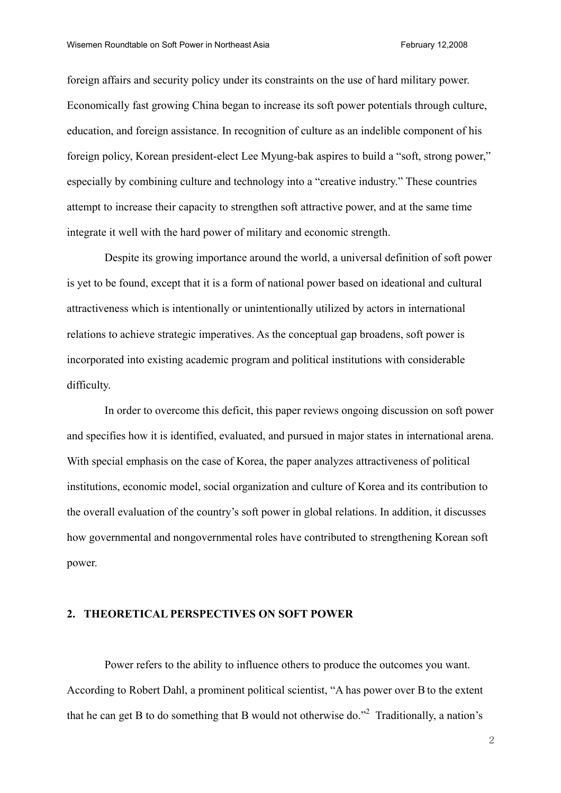foreign affairs and security policy under its constraints on the use of hard military power. Economically fast growing China began to increase its soft power potentials through culture, education, and foreign assistance. In recognition of culture as an indelible component of his foreign policy, Korean president-elect Lee Myung-bak aspires to build a "soft, strong power," especially by combining culture and technology into a "creative industry." These countries attempt to increase their capacity to strengthen soft attractive power, and at the same time integrate it well with the hard power of military and economic strength.

Despite its growing importance around the world, a universal definition of soft power is yet to be found, except that it is a form of national power based on ideational and cultural attractiveness which is intentionally or unintentionally utilized by actors in international relations to achieve strategic imperatives. As the conceptual gap broadens, soft power is incorporated into existing academic program and political institutions with considerable difficulty.

In order to overcome this deficit, this paper reviews ongoing discussion on soft power and specifies how it is identified, evaluated, and pursued in major states in international arena. With special emphasis on the case of Korea, the paper analyzes attractiveness of political institutions, economic model, social organization and culture of Korea and its contribution to the overall evaluation of the country's soft power in global relations. In addition, it discusses how governmental and nongovernmental roles have contributed to strengthening Korean soft power.

# **2. THEORETICAL PERSPECTIVES ON SOFT POWER**

Power refers to the ability to influence others to produce the outcomes you want. According to Robert Dahl, a prominent political scientist, "A has power over Bto the extent that he can get B to do something that B would not otherwise do."<sup>2</sup> Traditionally, a nation's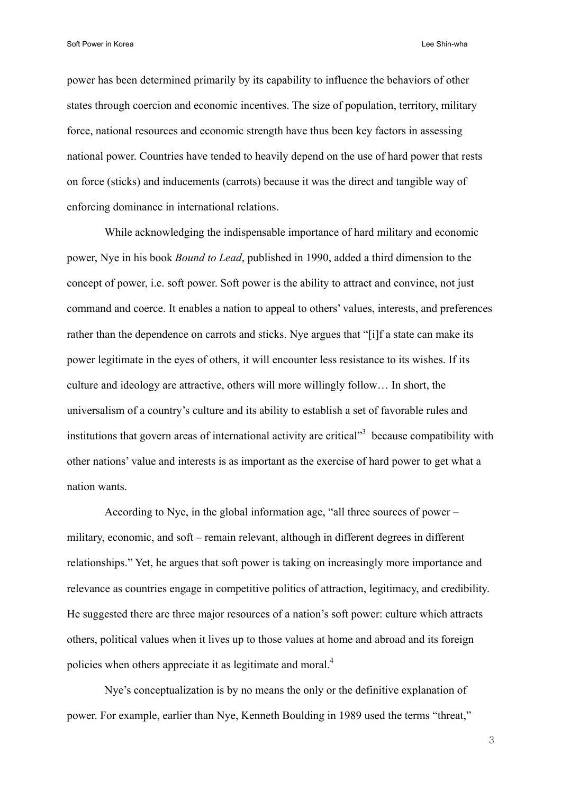power has been determined primarily by its capability to influence the behaviors of other states through coercion and economic incentives. The size of population, territory, military force, national resources and economic strength have thus been key factors in assessing national power. Countries have tended to heavily depend on the use of hard power that rests on force (sticks) and inducements (carrots) because it was the direct and tangible way of enforcing dominance in international relations.

While acknowledging the indispensable importance of hard military and economic power, Nye in his book *Bound to Lead*, published in 1990, added a third dimension to the concept of power, i.e. soft power. Soft power is the ability to attract and convince, not just command and coerce. It enables a nation to appeal to others' values, interests, and preferences rather than the dependence on carrots and sticks. Nye argues that "[i]f a state can make its power legitimate in the eyes of others, it will encounter less resistance to its wishes. If its culture and ideology are attractive, others will more willingly follow… In short, the universalism of a country's culture and its ability to establish a set of favorable rules and institutions that govern areas of international activity are critical<sup> $3$ </sup> because compatibility with other nations' value and interests is as important as the exercise of hard power to get what a nation wants.

According to Nye, in the global information age, "all three sources of power – military, economic, and soft – remain relevant, although in different degrees in different relationships." Yet, he argues that soft power is taking on increasingly more importance and relevance as countries engage in competitive politics of attraction, legitimacy, and credibility. He suggested there are three major resources of a nation's soft power: culture which attracts others, political values when it lives up to those values at home and abroad and its foreign policies when others appreciate it as legitimate and moral.<sup>4</sup>

Nye's conceptualization is by no means the only or the definitive explanation of power. For example, earlier than Nye, Kenneth Boulding in 1989 used the terms "threat,"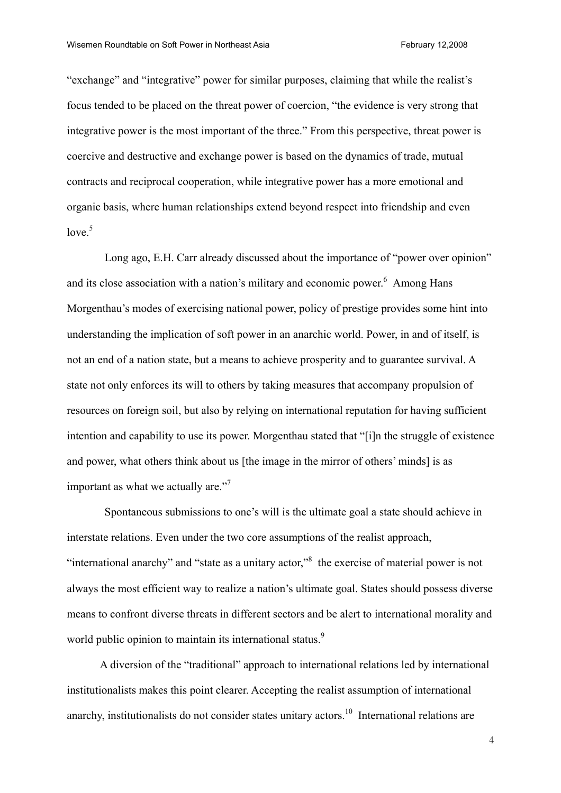"exchange" and "integrative" power for similar purposes, claiming that while the realist's focus tended to be placed on the threat power of coercion, "the evidence is very strong that integrative power is the most important of the three." From this perspective, threat power is coercive and destructive and exchange power is based on the dynamics of trade, mutual contracts and reciprocal cooperation, while integrative power has a more emotional and organic basis, where human relationships extend beyond respect into friendship and even  $love<sup>5</sup>$ 

Long ago, E.H. Carr already discussed about the importance of "power over opinion" and its close association with a nation's military and economic power. $6$  Among Hans Morgenthau's modes of exercising national power, policy of prestige provides some hint into understanding the implication of soft power in an anarchic world. Power, in and of itself, is not an end of a nation state, but a means to achieve prosperity and to guarantee survival. A state not only enforces its will to others by taking measures that accompany propulsion of resources on foreign soil, but also by relying on international reputation for having sufficient intention and capability to use its power. Morgenthau stated that "[i]n the struggle of existence and power, what others think about us [the image in the mirror of others' minds] is as important as what we actually are."<sup>7</sup>

Spontaneous submissions to one's will is the ultimate goal a state should achieve in interstate relations. Even under the two core assumptions of the realist approach, "international anarchy" and "state as a unitary actor,"<sup>8</sup> the exercise of material power is not always the most efficient way to realize a nation's ultimate goal. States should possess diverse means to confront diverse threats in different sectors and be alert to international morality and world public opinion to maintain its international status.<sup>9</sup>

A diversion of the "traditional" approach to international relations led by international institutionalists makes this point clearer. Accepting the realist assumption of international anarchy, institutionalists do not consider states unitary actors.<sup>10</sup> International relations are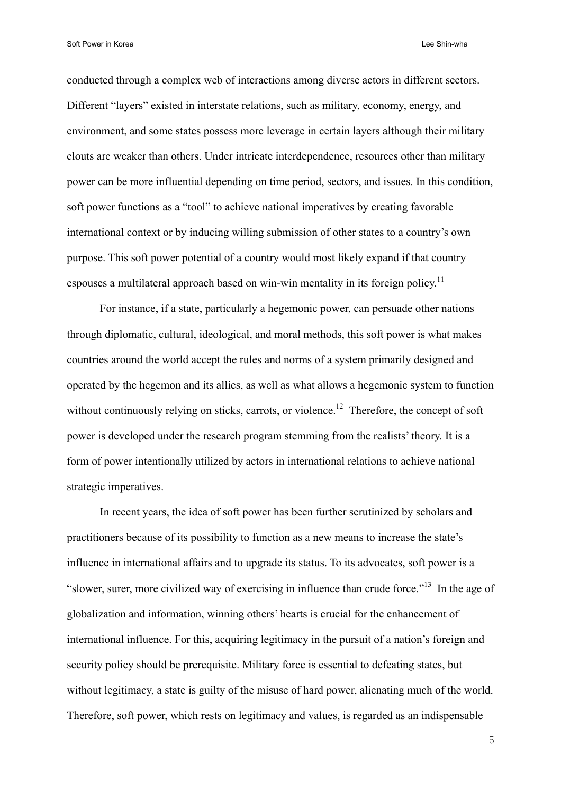conducted through a complex web of interactions among diverse actors in different sectors. Different "layers" existed in interstate relations, such as military, economy, energy, and environment, and some states possess more leverage in certain layers although their military clouts are weaker than others. Under intricate interdependence, resources other than military power can be more influential depending on time period, sectors, and issues. In this condition, soft power functions as a "tool" to achieve national imperatives by creating favorable international context or by inducing willing submission of other states to a country's own purpose. This soft power potential of a country would most likely expand if that country espouses a multilateral approach based on win-win mentality in its foreign policy.<sup>11</sup>

For instance, if a state, particularly a hegemonic power, can persuade other nations through diplomatic, cultural, ideological, and moral methods, this soft power is what makes countries around the world accept the rules and norms of a system primarily designed and operated by the hegemon and its allies, as well as what allows a hegemonic system to function without continuously relying on sticks, carrots, or violence.<sup>12</sup> Therefore, the concept of soft power is developed under the research program stemming from the realists' theory. It is a form of power intentionally utilized by actors in international relations to achieve national strategic imperatives.

In recent years, the idea of soft power has been further scrutinized by scholars and practitioners because of its possibility to function as a new means to increase the state's influence in international affairs and to upgrade its status. To its advocates, soft power is a "slower, surer, more civilized way of exercising in influence than crude force."13 In the age of globalization and information, winning others' hearts is crucial for the enhancement of international influence. For this, acquiring legitimacy in the pursuit of a nation's foreign and security policy should be prerequisite. Military force is essential to defeating states, but without legitimacy, a state is guilty of the misuse of hard power, alienating much of the world. Therefore, soft power, which rests on legitimacy and values, is regarded as an indispensable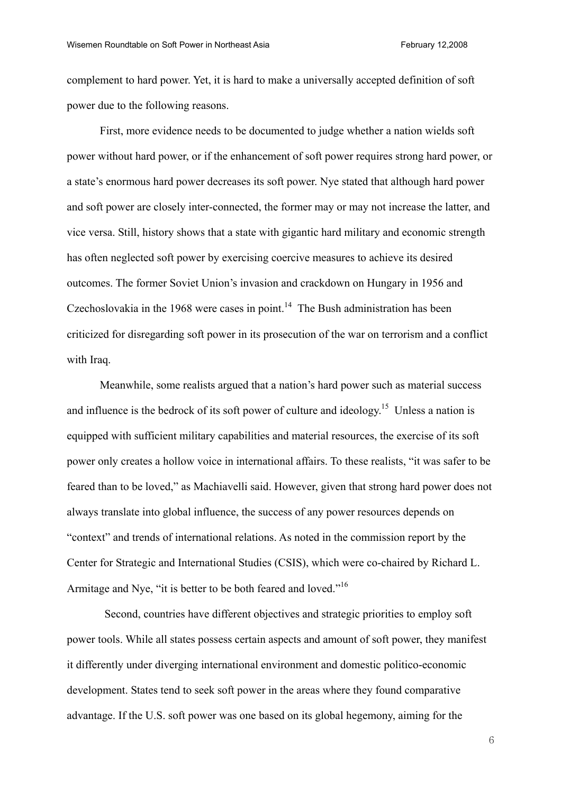complement to hard power. Yet, it is hard to make a universally accepted definition of soft power due to the following reasons.

First, more evidence needs to be documented to judge whether a nation wields soft power without hard power, or if the enhancement of soft power requires strong hard power, or a state's enormous hard power decreases its soft power. Nye stated that although hard power and soft power are closely inter-connected, the former may or may not increase the latter, and vice versa. Still, history shows that a state with gigantic hard military and economic strength has often neglected soft power by exercising coercive measures to achieve its desired outcomes. The former Soviet Union's invasion and crackdown on Hungary in 1956 and Czechoslovakia in the 1968 were cases in point.<sup>14</sup> The Bush administration has been criticized for disregarding soft power in its prosecution of the war on terrorism and a conflict with Iraq.

Meanwhile, some realists argued that a nation's hard power such as material success and influence is the bedrock of its soft power of culture and ideology.<sup>15</sup> Unless a nation is equipped with sufficient military capabilities and material resources, the exercise of its soft power only creates a hollow voice in international affairs. To these realists, "it was safer to be feared than to be loved," as Machiavelli said. However, given that strong hard power does not always translate into global influence, the success of any power resources depends on "context" and trends of international relations. As noted in the commission report by the Center for Strategic and International Studies (CSIS), which were co-chaired by Richard L. Armitage and Nye, "it is better to be both feared and loved."<sup>16</sup>

 Second, countries have different objectives and strategic priorities to employ soft power tools. While all states possess certain aspects and amount of soft power, they manifest it differently under diverging international environment and domestic politico-economic development. States tend to seek soft power in the areas where they found comparative advantage. If the U.S. soft power was one based on its global hegemony, aiming for the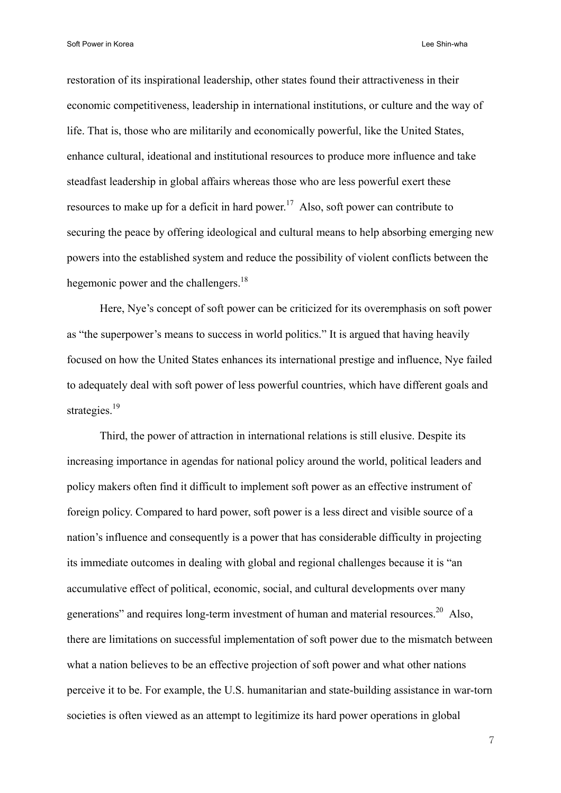restoration of its inspirational leadership, other states found their attractiveness in their economic competitiveness, leadership in international institutions, or culture and the way of life. That is, those who are militarily and economically powerful, like the United States, enhance cultural, ideational and institutional resources to produce more influence and take steadfast leadership in global affairs whereas those who are less powerful exert these resources to make up for a deficit in hard power.<sup>17</sup> Also, soft power can contribute to securing the peace by offering ideological and cultural means to help absorbing emerging new powers into the established system and reduce the possibility of violent conflicts between the hegemonic power and the challengers.<sup>18</sup>

Here, Nye's concept of soft power can be criticized for its overemphasis on soft power as "the superpower's means to success in world politics." It is argued that having heavily focused on how the United States enhances its international prestige and influence, Nye failed to adequately deal with soft power of less powerful countries, which have different goals and strategies<sup>19</sup>

Third, the power of attraction in international relations is still elusive. Despite its increasing importance in agendas for national policy around the world, political leaders and policy makers often find it difficult to implement soft power as an effective instrument of foreign policy. Compared to hard power, soft power is a less direct and visible source of a nation's influence and consequently is a power that has considerable difficulty in projecting its immediate outcomes in dealing with global and regional challenges because it is "an accumulative effect of political, economic, social, and cultural developments over many generations" and requires long-term investment of human and material resources.<sup>20</sup> Also, there are limitations on successful implementation of soft power due to the mismatch between what a nation believes to be an effective projection of soft power and what other nations perceive it to be. For example, the U.S. humanitarian and state-building assistance in war-torn societies is often viewed as an attempt to legitimize its hard power operations in global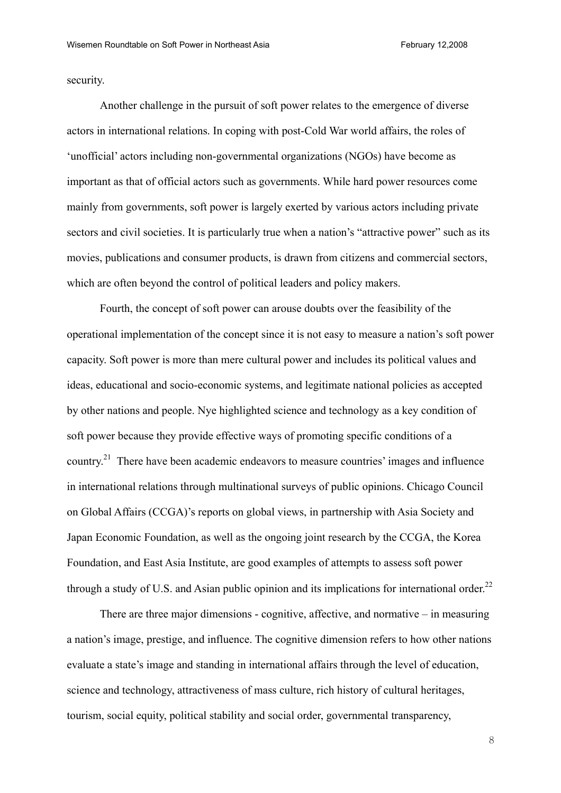security.

Another challenge in the pursuit of soft power relates to the emergence of diverse actors in international relations. In coping with post-Cold War world affairs, the roles of 'unofficial' actors including non-governmental organizations (NGOs) have become as important as that of official actors such as governments. While hard power resources come mainly from governments, soft power is largely exerted by various actors including private sectors and civil societies. It is particularly true when a nation's "attractive power" such as its movies, publications and consumer products, is drawn from citizens and commercial sectors, which are often beyond the control of political leaders and policy makers.

Fourth, the concept of soft power can arouse doubts over the feasibility of the operational implementation of the concept since it is not easy to measure a nation's soft power capacity. Soft power is more than mere cultural power and includes its political values and ideas, educational and socio-economic systems, and legitimate national policies as accepted by other nations and people. Nye highlighted science and technology as a key condition of soft power because they provide effective ways of promoting specific conditions of a country.<sup>21</sup> There have been academic endeavors to measure countries' images and influence in international relations through multinational surveys of public opinions. Chicago Council on Global Affairs (CCGA)'s reports on global views, in partnership with Asia Society and Japan Economic Foundation, as well as the ongoing joint research by the CCGA, the Korea Foundation, and East Asia Institute, are good examples of attempts to assess soft power through a study of U.S. and Asian public opinion and its implications for international order.<sup>22</sup>

There are three major dimensions - cognitive, affective, and normative – in measuring a nation's image, prestige, and influence. The cognitive dimension refers to how other nations evaluate a state's image and standing in international affairs through the level of education, science and technology, attractiveness of mass culture, rich history of cultural heritages, tourism, social equity, political stability and social order, governmental transparency,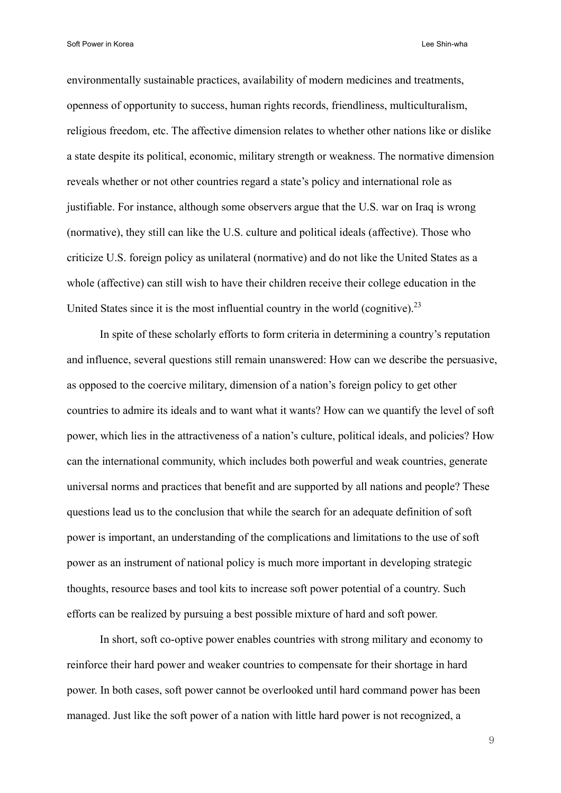environmentally sustainable practices, availability of modern medicines and treatments, openness of opportunity to success, human rights records, friendliness, multiculturalism, religious freedom, etc. The affective dimension relates to whether other nations like or dislike a state despite its political, economic, military strength or weakness. The normative dimension reveals whether or not other countries regard a state's policy and international role as justifiable. For instance, although some observers argue that the U.S. war on Iraq is wrong (normative), they still can like the U.S. culture and political ideals (affective). Those who criticize U.S. foreign policy as unilateral (normative) and do not like the United States as a whole (affective) can still wish to have their children receive their college education in the United States since it is the most influential country in the world (cognitive).<sup>23</sup>

In spite of these scholarly efforts to form criteria in determining a country's reputation and influence, several questions still remain unanswered: How can we describe the persuasive, as opposed to the coercive military, dimension of a nation's foreign policy to get other countries to admire its ideals and to want what it wants? How can we quantify the level of soft power, which lies in the attractiveness of a nation's culture, political ideals, and policies? How can the international community, which includes both powerful and weak countries, generate universal norms and practices that benefit and are supported by all nations and people? These questions lead us to the conclusion that while the search for an adequate definition of soft power is important, an understanding of the complications and limitations to the use of soft power as an instrument of national policy is much more important in developing strategic thoughts, resource bases and tool kits to increase soft power potential of a country. Such efforts can be realized by pursuing a best possible mixture of hard and soft power.

In short, soft co-optive power enables countries with strong military and economy to reinforce their hard power and weaker countries to compensate for their shortage in hard power. In both cases, soft power cannot be overlooked until hard command power has been managed. Just like the soft power of a nation with little hard power is not recognized, a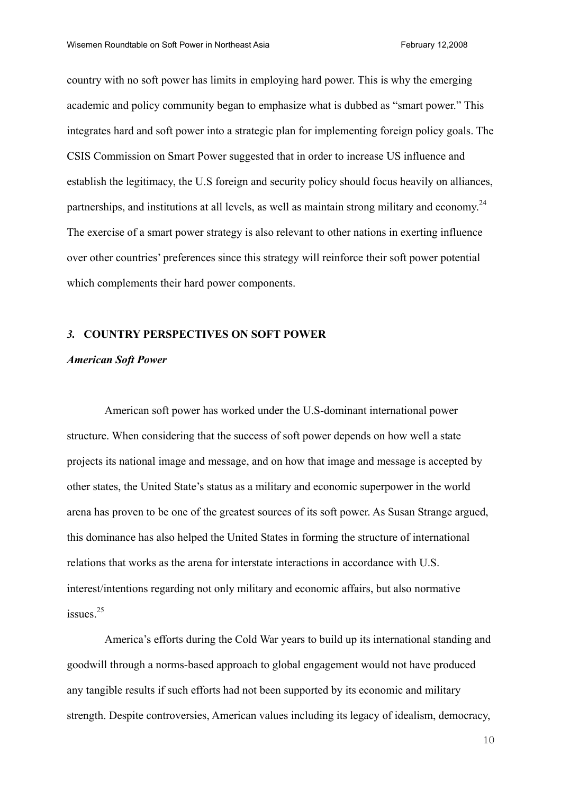country with no soft power has limits in employing hard power. This is why the emerging academic and policy community began to emphasize what is dubbed as "smart power." This integrates hard and soft power into a strategic plan for implementing foreign policy goals. The CSIS Commission on Smart Power suggested that in order to increase US influence and establish the legitimacy, the U.S foreign and security policy should focus heavily on alliances, partnerships, and institutions at all levels, as well as maintain strong military and economy.<sup>24</sup> The exercise of a smart power strategy is also relevant to other nations in exerting influence over other countries' preferences since this strategy will reinforce their soft power potential which complements their hard power components.

# *3.* **COUNTRY PERSPECTIVES ON SOFT POWER**

# *American Soft Power*

American soft power has worked under the U.S-dominant international power structure. When considering that the success of soft power depends on how well a state projects its national image and message, and on how that image and message is accepted by other states, the United State's status as a military and economic superpower in the world arena has proven to be one of the greatest sources of its soft power. As Susan Strange argued, this dominance has also helped the United States in forming the structure of international relations that works as the arena for interstate interactions in accordance with U.S. interest/intentions regarding not only military and economic affairs, but also normative issues $^{25}$ 

America's efforts during the Cold War years to build up its international standing and goodwill through a norms-based approach to global engagement would not have produced any tangible results if such efforts had not been supported by its economic and military strength. Despite controversies, American values including its legacy of idealism, democracy,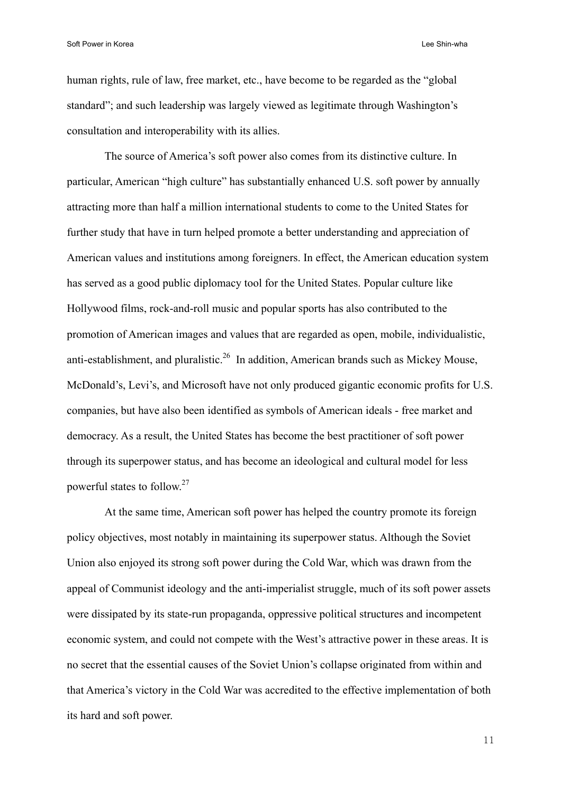human rights, rule of law, free market, etc., have become to be regarded as the "global standard"; and such leadership was largely viewed as legitimate through Washington's consultation and interoperability with its allies.

The source of America's soft power also comes from its distinctive culture. In particular, American "high culture" has substantially enhanced U.S. soft power by annually attracting more than half a million international students to come to the United States for further study that have in turn helped promote a better understanding and appreciation of American values and institutions among foreigners. In effect, the American education system has served as a good public diplomacy tool for the United States. Popular culture like Hollywood films, rock-and-roll music and popular sports has also contributed to the promotion of American images and values that are regarded as open, mobile, individualistic, anti-establishment, and pluralistic.<sup>26</sup> In addition, American brands such as Mickey Mouse, McDonald's, Levi's, and Microsoft have not only produced gigantic economic profits for U.S. companies, but have also been identified as symbols of American ideals - free market and democracy. As a result, the United States has become the best practitioner of soft power through its superpower status, and has become an ideological and cultural model for less powerful states to follow.27

At the same time, American soft power has helped the country promote its foreign policy objectives, most notably in maintaining its superpower status. Although the Soviet Union also enjoyed its strong soft power during the Cold War, which was drawn from the appeal of Communist ideology and the anti-imperialist struggle, much of its soft power assets were dissipated by its state-run propaganda, oppressive political structures and incompetent economic system, and could not compete with the West's attractive power in these areas. It is no secret that the essential causes of the Soviet Union's collapse originated from within and that America's victory in the Cold War was accredited to the effective implementation of both its hard and soft power.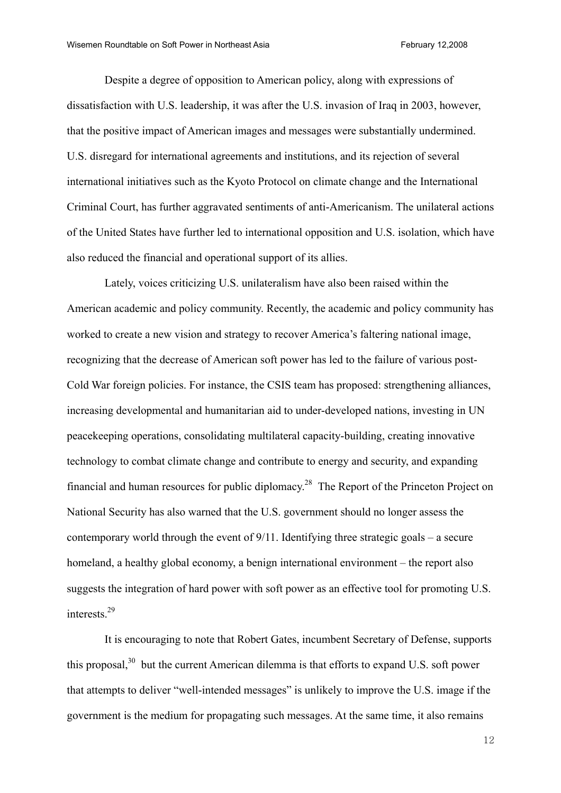Despite a degree of opposition to American policy, along with expressions of dissatisfaction with U.S. leadership, it was after the U.S. invasion of Iraq in 2003, however, that the positive impact of American images and messages were substantially undermined. U.S. disregard for international agreements and institutions, and its rejection of several international initiatives such as the Kyoto Protocol on climate change and the International Criminal Court, has further aggravated sentiments of anti-Americanism. The unilateral actions of the United States have further led to international opposition and U.S. isolation, which have also reduced the financial and operational support of its allies.

 Lately, voices criticizing U.S. unilateralism have also been raised within the American academic and policy community. Recently, the academic and policy community has worked to create a new vision and strategy to recover America's faltering national image, recognizing that the decrease of American soft power has led to the failure of various post-Cold War foreign policies. For instance, the CSIS team has proposed: strengthening alliances, increasing developmental and humanitarian aid to under-developed nations, investing in UN peacekeeping operations, consolidating multilateral capacity-building, creating innovative technology to combat climate change and contribute to energy and security, and expanding financial and human resources for public diplomacy.<sup>28</sup> The Report of the Princeton Project on National Security has also warned that the U.S. government should no longer assess the contemporary world through the event of 9/11. Identifying three strategic goals – a secure homeland, a healthy global economy, a benign international environment – the report also suggests the integration of hard power with soft power as an effective tool for promoting U.S. interests.29

It is encouraging to note that Robert Gates, incumbent Secretary of Defense, supports this proposal,<sup>30</sup> but the current American dilemma is that efforts to expand U.S. soft power that attempts to deliver "well-intended messages" is unlikely to improve the U.S. image if the government is the medium for propagating such messages. At the same time, it also remains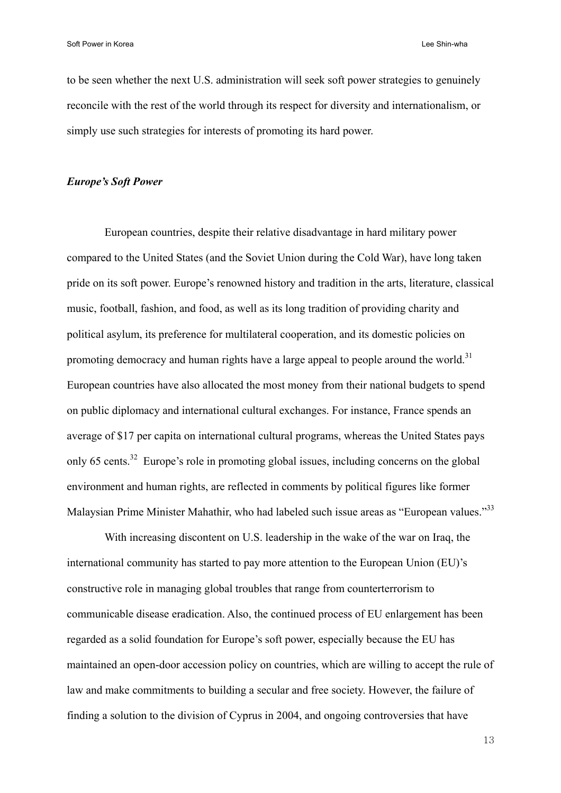to be seen whether the next U.S. administration will seek soft power strategies to genuinely reconcile with the rest of the world through its respect for diversity and internationalism, or simply use such strategies for interests of promoting its hard power.

# *Europe's Soft Power*

European countries, despite their relative disadvantage in hard military power compared to the United States (and the Soviet Union during the Cold War), have long taken pride on its soft power. Europe's renowned history and tradition in the arts, literature, classical music, football, fashion, and food, as well as its long tradition of providing charity and political asylum, its preference for multilateral cooperation, and its domestic policies on promoting democracy and human rights have a large appeal to people around the world.<sup>31</sup> European countries have also allocated the most money from their national budgets to spend on public diplomacy and international cultural exchanges. For instance, France spends an average of \$17 per capita on international cultural programs, whereas the United States pays only 65 cents.<sup>32</sup> Europe's role in promoting global issues, including concerns on the global environment and human rights, are reflected in comments by political figures like former Malaysian Prime Minister Mahathir, who had labeled such issue areas as "European values."<sup>33</sup>

With increasing discontent on U.S. leadership in the wake of the war on Iraq, the international community has started to pay more attention to the European Union (EU)'s constructive role in managing global troubles that range from counterterrorism to communicable disease eradication. Also, the continued process of EU enlargement has been regarded as a solid foundation for Europe's soft power, especially because the EU has maintained an open-door accession policy on countries, which are willing to accept the rule of law and make commitments to building a secular and free society. However, the failure of finding a solution to the division of Cyprus in 2004, and ongoing controversies that have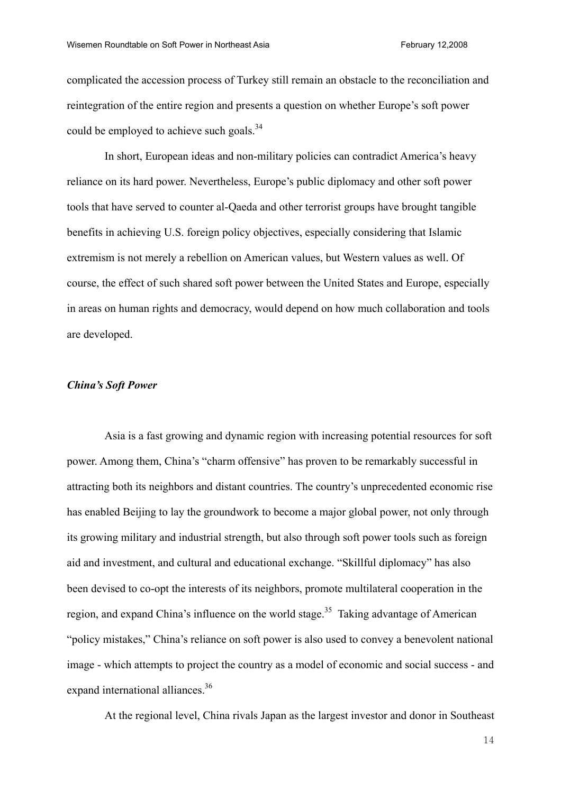complicated the accession process of Turkey still remain an obstacle to the reconciliation and reintegration of the entire region and presents a question on whether Europe's soft power could be employed to achieve such goals.<sup>34</sup>

In short, European ideas and non-military policies can contradict America's heavy reliance on its hard power. Nevertheless, Europe's public diplomacy and other soft power tools that have served to counter al-Qaeda and other terrorist groups have brought tangible benefits in achieving U.S. foreign policy objectives, especially considering that Islamic extremism is not merely a rebellion on American values, but Western values as well. Of course, the effect of such shared soft power between the United States and Europe, especially in areas on human rights and democracy, would depend on how much collaboration and tools are developed.

# *China's Soft Power*

 Asia is a fast growing and dynamic region with increasing potential resources for soft power. Among them, China's "charm offensive" has proven to be remarkably successful in attracting both its neighbors and distant countries. The country's unprecedented economic rise has enabled Beijing to lay the groundwork to become a major global power, not only through its growing military and industrial strength, but also through soft power tools such as foreign aid and investment, and cultural and educational exchange. "Skillful diplomacy" has also been devised to co-opt the interests of its neighbors, promote multilateral cooperation in the region, and expand China's influence on the world stage.<sup>35</sup> Taking advantage of American "policy mistakes," China's reliance on soft power is also used to convey a benevolent national image - which attempts to project the country as a model of economic and social success - and expand international alliances.<sup>36</sup>

At the regional level, China rivals Japan as the largest investor and donor in Southeast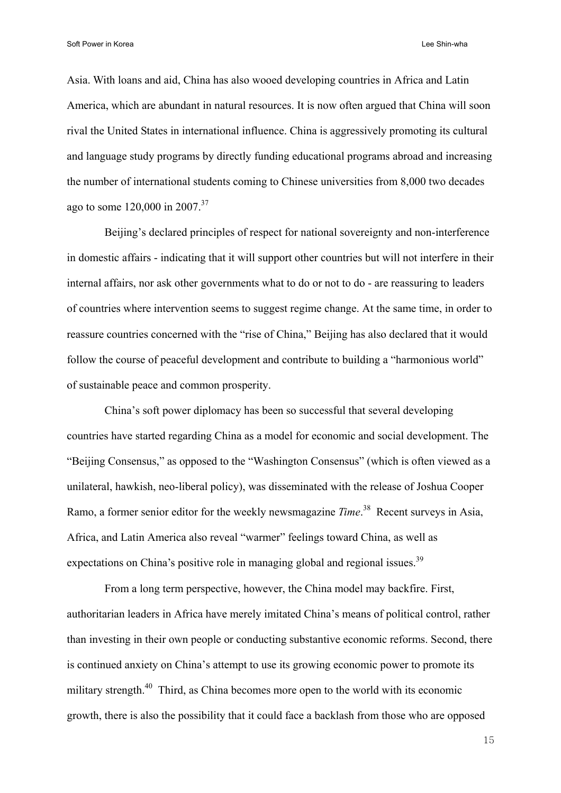Asia. With loans and aid, China has also wooed developing countries in Africa and Latin America, which are abundant in natural resources. It is now often argued that China will soon rival the United States in international influence. China is aggressively promoting its cultural and language study programs by directly funding educational programs abroad and increasing the number of international students coming to Chinese universities from 8,000 two decades ago to some  $120,000$  in  $2007^{37}$ 

 Beijing's declared principles of respect for national sovereignty and non-interference in domestic affairs - indicating that it will support other countries but will not interfere in their internal affairs, nor ask other governments what to do or not to do - are reassuring to leaders of countries where intervention seems to suggest regime change. At the same time, in order to reassure countries concerned with the "rise of China," Beijing has also declared that it would follow the course of peaceful development and contribute to building a "harmonious world" of sustainable peace and common prosperity.

China's soft power diplomacy has been so successful that several developing countries have started regarding China as a model for economic and social development. The "Beijing Consensus," as opposed to the "Washington Consensus" (which is often viewed as a unilateral, hawkish, neo-liberal policy), was disseminated with the release of Joshua Cooper Ramo, a former senior editor for the weekly newsmagazine *Time*. 38 Recent surveys in Asia, Africa, and Latin America also reveal "warmer" feelings toward China, as well as expectations on China's positive role in managing global and regional issues.<sup>39</sup>

From a long term perspective, however, the China model may backfire. First, authoritarian leaders in Africa have merely imitated China's means of political control, rather than investing in their own people or conducting substantive economic reforms. Second, there is continued anxiety on China's attempt to use its growing economic power to promote its military strength.<sup>40</sup> Third, as China becomes more open to the world with its economic growth, there is also the possibility that it could face a backlash from those who are opposed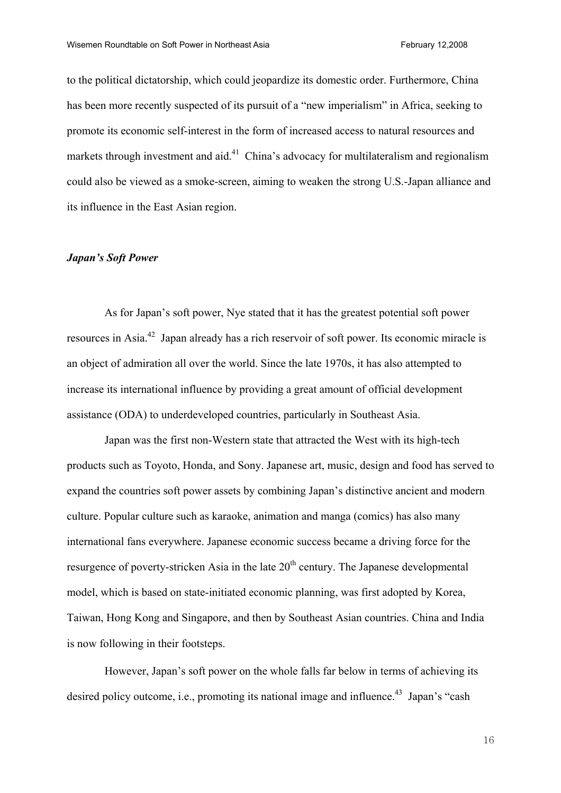to the political dictatorship, which could jeopardize its domestic order. Furthermore, China has been more recently suspected of its pursuit of a "new imperialism" in Africa, seeking to promote its economic self-interest in the form of increased access to natural resources and markets through investment and aid.<sup>41</sup> China's advocacy for multilateralism and regionalism could also be viewed as a smoke-screen, aiming to weaken the strong U.S.-Japan alliance and its influence in the East Asian region.

## *Japan's Soft Power*

As for Japan's soft power, Nye stated that it has the greatest potential soft power resources in Asia.42 Japan already has a rich reservoir of soft power. Its economic miracle is an object of admiration all over the world. Since the late 1970s, it has also attempted to increase its international influence by providing a great amount of official development assistance (ODA) to underdeveloped countries, particularly in Southeast Asia.

Japan was the first non-Western state that attracted the West with its high-tech products such as Toyoto, Honda, and Sony. Japanese art, music, design and food has served to expand the countries soft power assets by combining Japan's distinctive ancient and modern culture. Popular culture such as karaoke, animation and manga (comics) has also many international fans everywhere. Japanese economic success became a driving force for the resurgence of poverty-stricken Asia in the late  $20<sup>th</sup>$  century. The Japanese developmental model, which is based on state-initiated economic planning, was first adopted by Korea, Taiwan, Hong Kong and Singapore, and then by Southeast Asian countries. China and India is now following in their footsteps.

However, Japan's soft power on the whole falls far below in terms of achieving its desired policy outcome, i.e., promoting its national image and influence.<sup>43</sup> Japan's "cash"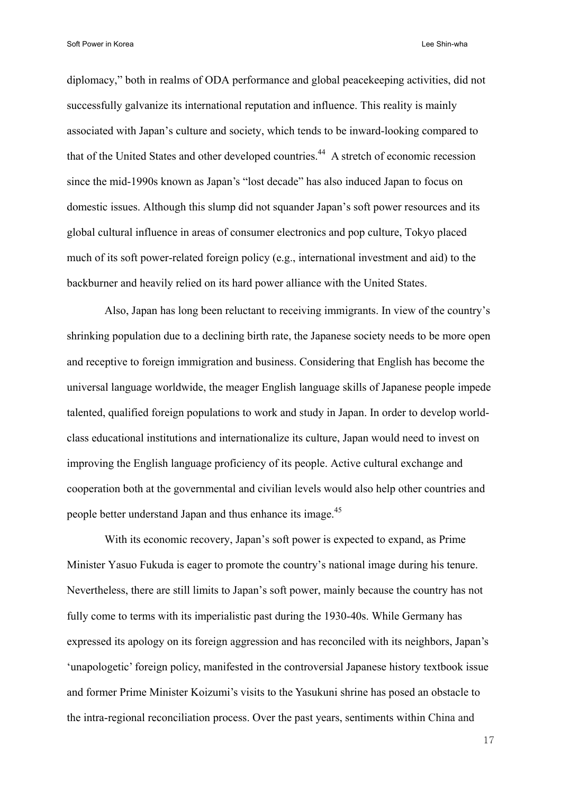diplomacy," both in realms of ODA performance and global peacekeeping activities, did not successfully galvanize its international reputation and influence. This reality is mainly associated with Japan's culture and society, which tends to be inward-looking compared to that of the United States and other developed countries.<sup>44</sup> A stretch of economic recession since the mid-1990s known as Japan's "lost decade" has also induced Japan to focus on domestic issues. Although this slump did not squander Japan's soft power resources and its global cultural influence in areas of consumer electronics and pop culture, Tokyo placed much of its soft power-related foreign policy (e.g., international investment and aid) to the backburner and heavily relied on its hard power alliance with the United States.

Also, Japan has long been reluctant to receiving immigrants. In view of the country's shrinking population due to a declining birth rate, the Japanese society needs to be more open and receptive to foreign immigration and business. Considering that English has become the universal language worldwide, the meager English language skills of Japanese people impede talented, qualified foreign populations to work and study in Japan. In order to develop worldclass educational institutions and internationalize its culture, Japan would need to invest on improving the English language proficiency of its people. Active cultural exchange and cooperation both at the governmental and civilian levels would also help other countries and people better understand Japan and thus enhance its image.<sup>45</sup>

With its economic recovery, Japan's soft power is expected to expand, as Prime Minister Yasuo Fukuda is eager to promote the country's national image during his tenure. Nevertheless, there are still limits to Japan's soft power, mainly because the country has not fully come to terms with its imperialistic past during the 1930-40s. While Germany has expressed its apology on its foreign aggression and has reconciled with its neighbors, Japan's 'unapologetic' foreign policy, manifested in the controversial Japanese history textbook issue and former Prime Minister Koizumi's visits to the Yasukuni shrine has posed an obstacle to the intra-regional reconciliation process. Over the past years, sentiments within China and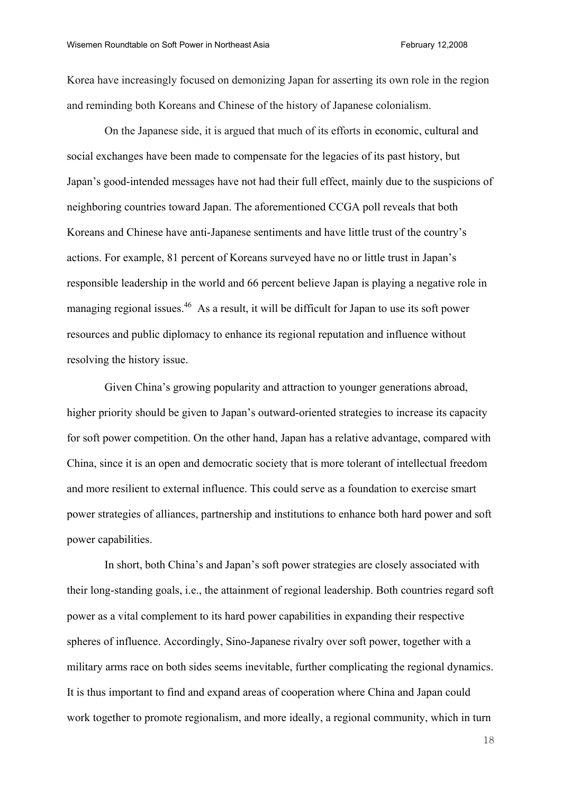Korea have increasingly focused on demonizing Japan for asserting its own role in the region and reminding both Koreans and Chinese of the history of Japanese colonialism.

On the Japanese side, it is argued that much of its efforts in economic, cultural and social exchanges have been made to compensate for the legacies of its past history, but Japan's good-intended messages have not had their full effect, mainly due to the suspicions of neighboring countries toward Japan. The aforementioned CCGA poll reveals that both Koreans and Chinese have anti-Japanese sentiments and have little trust of the country's actions. For example, 81 percent of Koreans surveyed have no or little trust in Japan's responsible leadership in the world and 66 percent believe Japan is playing a negative role in managing regional issues.<sup>46</sup> As a result, it will be difficult for Japan to use its soft power resources and public diplomacy to enhance its regional reputation and influence without resolving the history issue.

Given China's growing popularity and attraction to younger generations abroad, higher priority should be given to Japan's outward-oriented strategies to increase its capacity for soft power competition. On the other hand, Japan has a relative advantage, compared with China, since it is an open and democratic society that is more tolerant of intellectual freedom and more resilient to external influence. This could serve as a foundation to exercise smart power strategies of alliances, partnership and institutions to enhance both hard power and soft power capabilities.

In short, both China's and Japan's soft power strategies are closely associated with their long-standing goals, i.e., the attainment of regional leadership. Both countries regard soft power as a vital complement to its hard power capabilities in expanding their respective spheres of influence. Accordingly, Sino-Japanese rivalry over soft power, together with a military arms race on both sides seems inevitable, further complicating the regional dynamics. It is thus important to find and expand areas of cooperation where China and Japan could work together to promote regionalism, and more ideally, a regional community, which in turn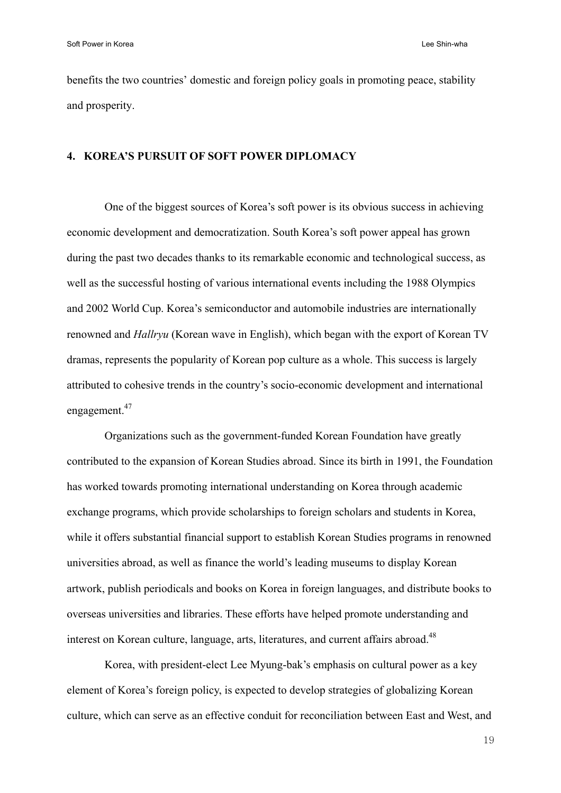benefits the two countries' domestic and foreign policy goals in promoting peace, stability and prosperity.

# **4. KOREA'S PURSUIT OF SOFT POWER DIPLOMACY**

One of the biggest sources of Korea's soft power is its obvious success in achieving economic development and democratization. South Korea's soft power appeal has grown during the past two decades thanks to its remarkable economic and technological success, as well as the successful hosting of various international events including the 1988 Olympics and 2002 World Cup. Korea's semiconductor and automobile industries are internationally renowned and *Hallryu* (Korean wave in English), which began with the export of Korean TV dramas, represents the popularity of Korean pop culture as a whole. This success is largely attributed to cohesive trends in the country's socio-economic development and international engagement.<sup>47</sup>

Organizations such as the government-funded Korean Foundation have greatly contributed to the expansion of Korean Studies abroad. Since its birth in 1991, the Foundation has worked towards promoting international understanding on Korea through academic exchange programs, which provide scholarships to foreign scholars and students in Korea, while it offers substantial financial support to establish Korean Studies programs in renowned universities abroad, as well as finance the world's leading museums to display Korean artwork, publish periodicals and books on Korea in foreign languages, and distribute books to overseas universities and libraries. These efforts have helped promote understanding and interest on Korean culture, language, arts, literatures, and current affairs abroad.<sup>48</sup>

 Korea, with president-elect Lee Myung-bak's emphasis on cultural power as a key element of Korea's foreign policy, is expected to develop strategies of globalizing Korean culture, which can serve as an effective conduit for reconciliation between East and West, and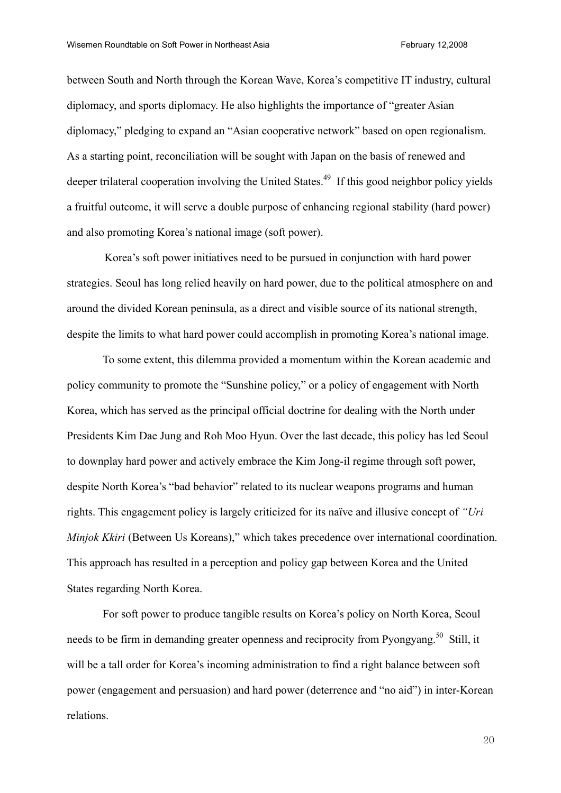between South and North through the Korean Wave, Korea's competitive IT industry, cultural diplomacy, and sports diplomacy. He also highlights the importance of "greater Asian diplomacy," pledging to expand an "Asian cooperative network" based on open regionalism. As a starting point, reconciliation will be sought with Japan on the basis of renewed and deeper trilateral cooperation involving the United States.<sup>49</sup> If this good neighbor policy yields a fruitful outcome, it will serve a double purpose of enhancing regional stability (hard power) and also promoting Korea's national image (soft power).

Korea's soft power initiatives need to be pursued in conjunction with hard power strategies. Seoul has long relied heavily on hard power, due to the political atmosphere on and around the divided Korean peninsula, as a direct and visible source of its national strength, despite the limits to what hard power could accomplish in promoting Korea's national image.

To some extent, this dilemma provided a momentum within the Korean academic and policy community to promote the "Sunshine policy," or a policy of engagement with North Korea, which has served as the principal official doctrine for dealing with the North under Presidents Kim Dae Jung and Roh Moo Hyun. Over the last decade, this policy has led Seoul to downplay hard power and actively embrace the Kim Jong-il regime through soft power, despite North Korea's "bad behavior" related to its nuclear weapons programs and human rights. This engagement policy is largely criticized for its naïve and illusive concept of *"Uri Minjok Kkiri* (Between Us Koreans)," which takes precedence over international coordination. This approach has resulted in a perception and policy gap between Korea and the United States regarding North Korea.

For soft power to produce tangible results on Korea's policy on North Korea, Seoul needs to be firm in demanding greater openness and reciprocity from Pyongyang.<sup>50</sup> Still, it will be a tall order for Korea's incoming administration to find a right balance between soft power (engagement and persuasion) and hard power (deterrence and "no aid") in inter-Korean relations.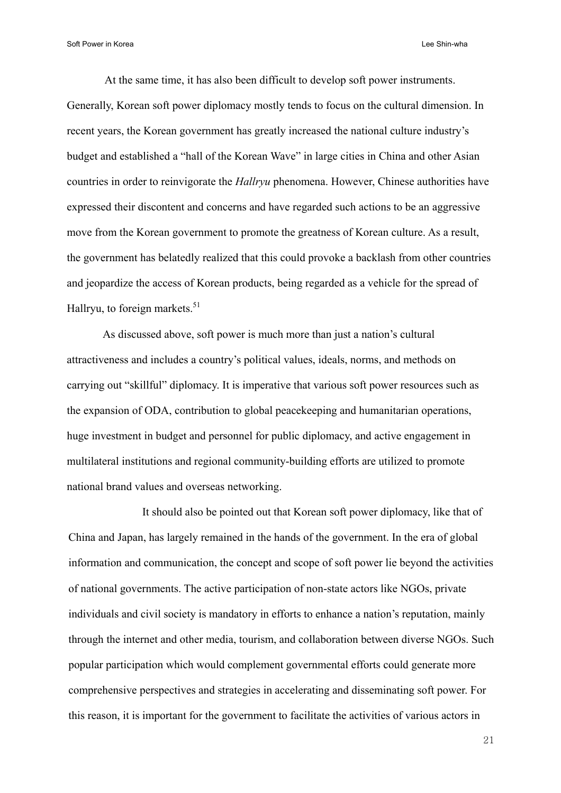At the same time, it has also been difficult to develop soft power instruments. Generally, Korean soft power diplomacy mostly tends to focus on the cultural dimension. In recent years, the Korean government has greatly increased the national culture industry's budget and established a "hall of the Korean Wave" in large cities in China and other Asian countries in order to reinvigorate the *Hallryu* phenomena. However, Chinese authorities have expressed their discontent and concerns and have regarded such actions to be an aggressive move from the Korean government to promote the greatness of Korean culture. As a result, the government has belatedly realized that this could provoke a backlash from other countries and jeopardize the access of Korean products, being regarded as a vehicle for the spread of Hallryu, to foreign markets. $51$ 

As discussed above, soft power is much more than just a nation's cultural attractiveness and includes a country's political values, ideals, norms, and methods on carrying out "skillful" diplomacy. It is imperative that various soft power resources such as the expansion of ODA, contribution to global peacekeeping and humanitarian operations, huge investment in budget and personnel for public diplomacy, and active engagement in multilateral institutions and regional community-building efforts are utilized to promote national brand values and overseas networking.

 It should also be pointed out that Korean soft power diplomacy, like that of China and Japan, has largely remained in the hands of the government. In the era of global information and communication, the concept and scope of soft power lie beyond the activities of national governments. The active participation of non-state actors like NGOs, private individuals and civil society is mandatory in efforts to enhance a nation's reputation, mainly through the internet and other media, tourism, and collaboration between diverse NGOs. Such popular participation which would complement governmental efforts could generate more comprehensive perspectives and strategies in accelerating and disseminating soft power. For this reason, it is important for the government to facilitate the activities of various actors in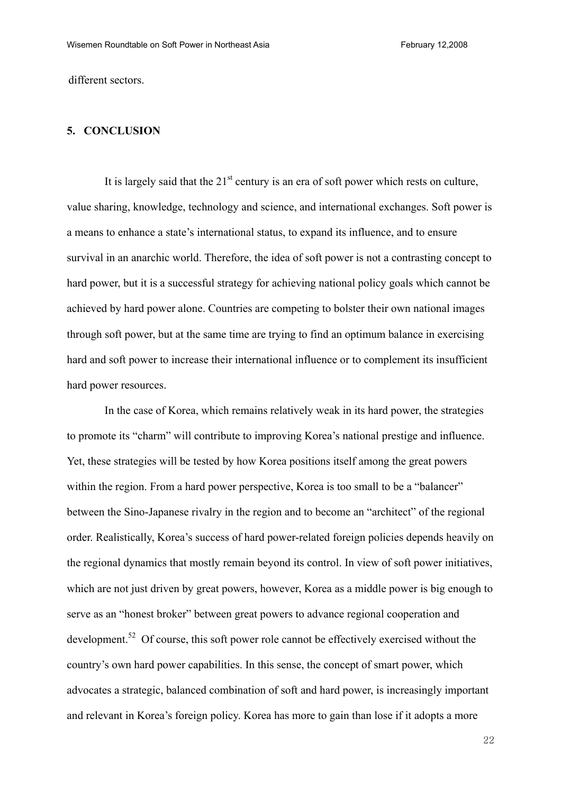different sectors.

# **5. CONCLUSION**

It is largely said that the  $21<sup>st</sup>$  century is an era of soft power which rests on culture, value sharing, knowledge, technology and science, and international exchanges. Soft power is a means to enhance a state's international status, to expand its influence, and to ensure survival in an anarchic world. Therefore, the idea of soft power is not a contrasting concept to hard power, but it is a successful strategy for achieving national policy goals which cannot be achieved by hard power alone. Countries are competing to bolster their own national images through soft power, but at the same time are trying to find an optimum balance in exercising hard and soft power to increase their international influence or to complement its insufficient hard power resources.

In the case of Korea, which remains relatively weak in its hard power, the strategies to promote its "charm" will contribute to improving Korea's national prestige and influence. Yet, these strategies will be tested by how Korea positions itself among the great powers within the region. From a hard power perspective, Korea is too small to be a "balancer" between the Sino-Japanese rivalry in the region and to become an "architect" of the regional order. Realistically, Korea's success of hard power-related foreign policies depends heavily on the regional dynamics that mostly remain beyond its control. In view of soft power initiatives, which are not just driven by great powers, however, Korea as a middle power is big enough to serve as an "honest broker" between great powers to advance regional cooperation and development.<sup>52</sup> Of course, this soft power role cannot be effectively exercised without the country's own hard power capabilities. In this sense, the concept of smart power, which advocates a strategic, balanced combination of soft and hard power, is increasingly important and relevant in Korea's foreign policy. Korea has more to gain than lose if it adopts a more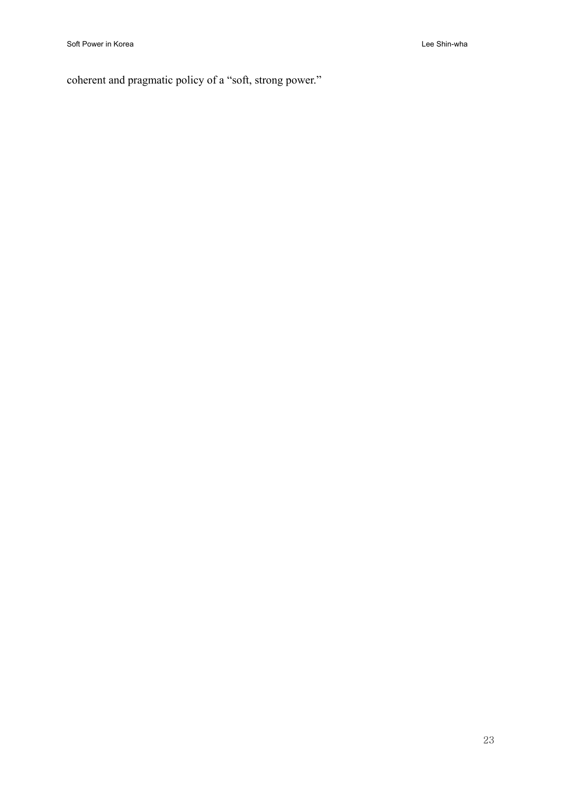coherent and pragmatic policy of a "soft, strong power."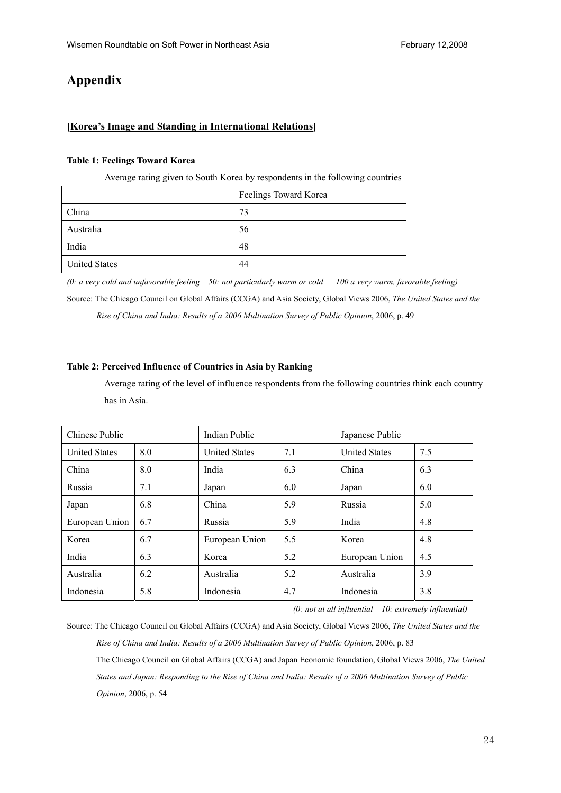# **Appendix**

# **[Korea's Image and Standing in International Relations]**

### **Table 1: Feelings Toward Korea**

Average rating given to South Korea by respondents in the following countries

|                      | Feelings Toward Korea |
|----------------------|-----------------------|
| China                | 73                    |
| Australia            | 56                    |
| India                | 48                    |
| <b>United States</b> | 44                    |

*(0: a very cold and unfavorable feeling 50: not particularly warm or cold 100 a very warm, favorable feeling)*  Source: The Chicago Council on Global Affairs (CCGA) and Asia Society, Global Views 2006, *The United States and the Rise of China and India: Results of a 2006 Multination Survey of Public Opinion*, 2006, p. 49

### **Table 2: Perceived Influence of Countries in Asia by Ranking**

Average rating of the level of influence respondents from the following countries think each country has in Asia.

| Chinese Public       |     | <b>Indian Public</b> | Japanese Public |                      |     |
|----------------------|-----|----------------------|-----------------|----------------------|-----|
| <b>United States</b> | 8.0 | <b>United States</b> | 7.1             | <b>United States</b> | 7.5 |
| China                | 8.0 | India                | 6.3             | China                | 6.3 |
| Russia               | 7.1 | Japan                | 6.0             | Japan                | 6.0 |
| Japan                | 6.8 | China                | 5.9             | Russia               | 5.0 |
| European Union       | 6.7 | Russia               | 5.9             | India                | 4.8 |
| Korea                | 6.7 | European Union       | 5.5             | Korea                | 4.8 |
| India                | 6.3 | Korea                | 5.2             | European Union       | 4.5 |
| Australia            | 6.2 | Australia            | 5.2             | Australia            | 3.9 |
| Indonesia            | 5.8 | Indonesia            | 4.7             | Indonesia            | 3.8 |

*(0: not at all influential 10: extremely influential)* 

Source: The Chicago Council on Global Affairs (CCGA) and Asia Society, Global Views 2006, *The United States and the Rise of China and India: Results of a 2006 Multination Survey of Public Opinion*, 2006, p. 83 The Chicago Council on Global Affairs (CCGA) and Japan Economic foundation, Global Views 2006, *The United States and Japan: Responding to the Rise of China and India: Results of a 2006 Multination Survey of Public Opinion*, 2006, p. 54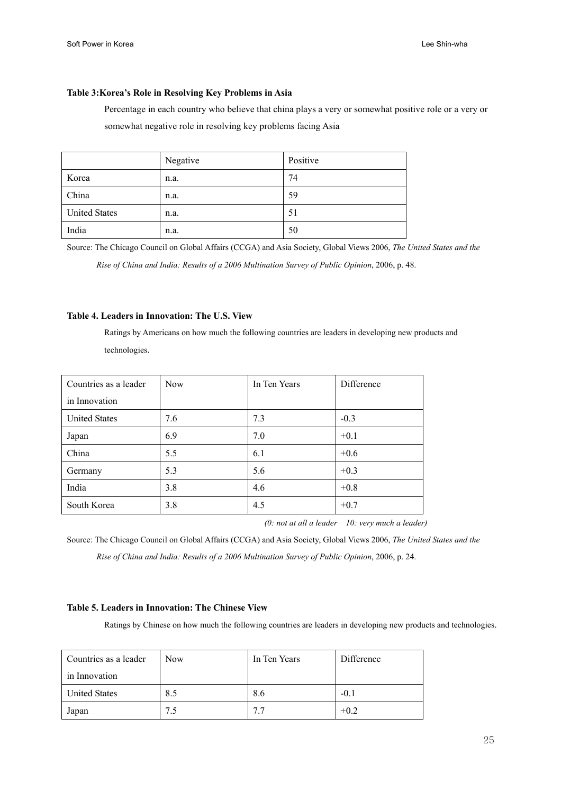### **Table 3:Korea's Role in Resolving Key Problems in Asia**

Percentage in each country who believe that china plays a very or somewhat positive role or a very or somewhat negative role in resolving key problems facing Asia

|                      | Negative | Positive |
|----------------------|----------|----------|
| Korea                | n.a.     | 74       |
| China                | n.a.     | 59       |
| <b>United States</b> | n.a.     | 51       |
| India                | n.a.     | 50       |

Source: The Chicago Council on Global Affairs (CCGA) and Asia Society, Global Views 2006, *The United States and the Rise of China and India: Results of a 2006 Multination Survey of Public Opinion*, 2006, p. 48.

#### **Table 4. Leaders in Innovation: The U.S. View**

Ratings by Americans on how much the following countries are leaders in developing new products and technologies.

| Countries as a leader | <b>Now</b> | In Ten Years | Difference |
|-----------------------|------------|--------------|------------|
| in Innovation         |            |              |            |
| <b>United States</b>  | 7.6        | 7.3          | $-0.3$     |
| Japan                 | 6.9        | 7.0          | $+0.1$     |
| China                 | 5.5        | 6.1          | $+0.6$     |
| Germany               | 5.3        | 5.6          | $+0.3$     |
| India                 | 3.8        | 4.6          | $+0.8$     |
| South Korea           | 3.8        | 4.5          | $+0.7$     |

*(0: not at all a leader 10: very much a leader)* 

Source: The Chicago Council on Global Affairs (CCGA) and Asia Society, Global Views 2006, *The United States and the Rise of China and India: Results of a 2006 Multination Survey of Public Opinion*, 2006, p. 24.

#### **Table 5. Leaders in Innovation: The Chinese View**

Ratings by Chinese on how much the following countries are leaders in developing new products and technologies.

| Countries as a leader | <b>Now</b> | In Ten Years | Difference |
|-----------------------|------------|--------------|------------|
| in Innovation         |            |              |            |
| <b>United States</b>  | 8.5        | 8.6          | $-0.1$     |
| Japan                 | 7.5        | 7.7          | $+0.2$     |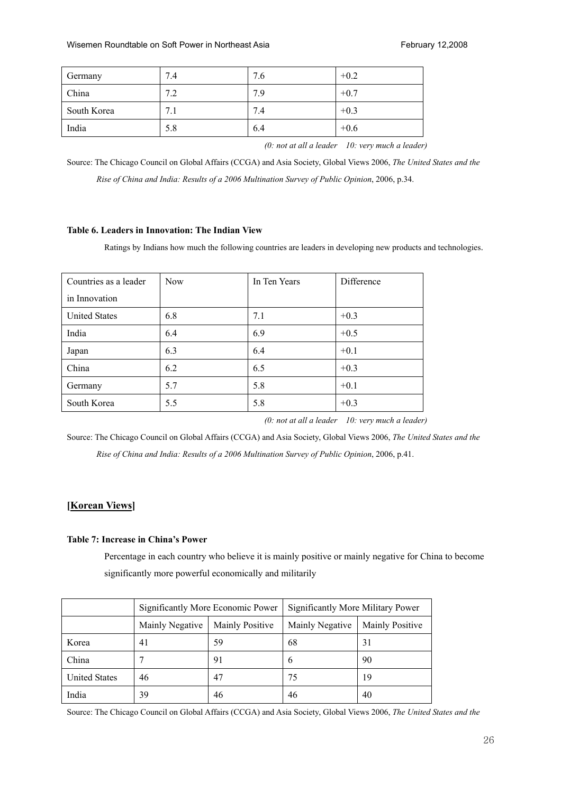| Germany     | 7.4 | 7.6 | $+0.2$ |
|-------------|-----|-----|--------|
| China       | 7.2 | 7.9 | $+0.7$ |
| South Korea | 7.1 | 7.4 | $+0.3$ |
| India       | 5.8 | 6.4 | $+0.6$ |

*(0: not at all a leader 10: very much a leader)* 

Source: The Chicago Council on Global Affairs (CCGA) and Asia Society, Global Views 2006, *The United States and the Rise of China and India: Results of a 2006 Multination Survey of Public Opinion*, 2006, p.34.

### **Table 6. Leaders in Innovation: The Indian View**

Ratings by Indians how much the following countries are leaders in developing new products and technologies.

| Countries as a leader | <b>Now</b> | In Ten Years | Difference |
|-----------------------|------------|--------------|------------|
| in Innovation         |            |              |            |
| <b>United States</b>  | 6.8        | 7.1          | $+0.3$     |
| India                 | 6.4        | 6.9          | $+0.5$     |
| Japan                 | 6.3        | 6.4          | $+0.1$     |
| China                 | 6.2        | 6.5          | $+0.3$     |
| Germany               | 5.7        | 5.8          | $+0.1$     |
| South Korea           | 5.5        | 5.8          | $+0.3$     |

*(0: not at all a leader 10: very much a leader)* 

Source: The Chicago Council on Global Affairs (CCGA) and Asia Society, Global Views 2006, *The United States and the Rise of China and India: Results of a 2006 Multination Survey of Public Opinion*, 2006, p.41.

# **[Korean Views]**

#### **Table 7: Increase in China's Power**

Percentage in each country who believe it is mainly positive or mainly negative for China to become significantly more powerful economically and militarily

|                      | Significantly More Economic Power |                        | Significantly More Military Power |                        |
|----------------------|-----------------------------------|------------------------|-----------------------------------|------------------------|
|                      | Mainly Negative                   | <b>Mainly Positive</b> | Mainly Negative                   | <b>Mainly Positive</b> |
| Korea                | 41                                | 59                     | 68                                | 31                     |
| China                |                                   | 91                     | 6                                 | 90                     |
| <b>United States</b> | 46                                | 47                     | 75                                | 19                     |
| India                | 39                                | 46                     | 46                                | 40                     |

Source: The Chicago Council on Global Affairs (CCGA) and Asia Society, Global Views 2006, *The United States and the*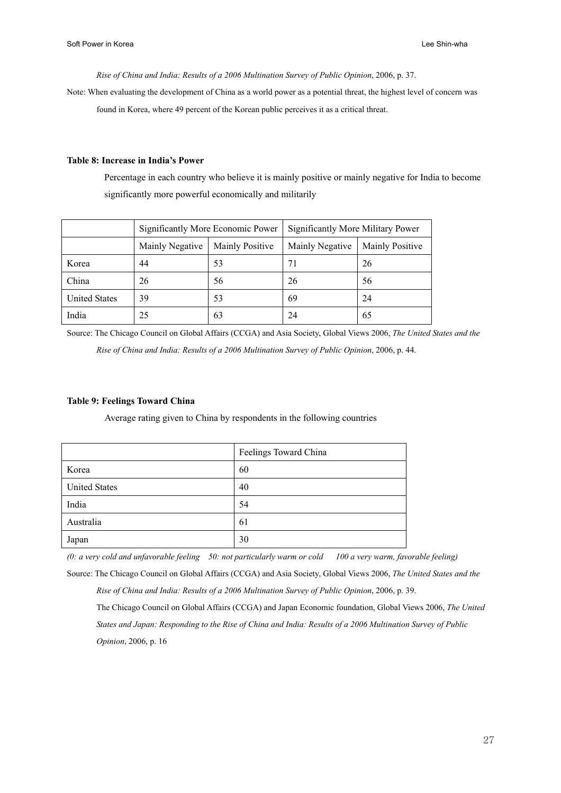*Rise of China and India: Results of a 2006 Multination Survey of Public Opinion*, 2006, p. 37.

Note: When evaluating the development of China as a world power as a potential threat, the highest level of concern was found in Korea, where 49 percent of the Korean public perceives it as a critical threat.

#### **Table 8: Increase in India's Power**

Percentage in each country who believe it is mainly positive or mainly negative for India to become significantly more powerful economically and militarily

|                      | Significantly More Economic Power |                        | Significantly More Military Power |                        |
|----------------------|-----------------------------------|------------------------|-----------------------------------|------------------------|
|                      | Mainly Negative                   | <b>Mainly Positive</b> | Mainly Negative                   | <b>Mainly Positive</b> |
| Korea                | 44                                | 53                     | 71                                | 26                     |
| China                | 26                                | 56                     | 26                                | 56                     |
| <b>United States</b> | 39                                | 53                     | 69                                | 24                     |
| India                | 25                                | 63                     | 24                                | 65                     |

Source: The Chicago Council on Global Affairs (CCGA) and Asia Society, Global Views 2006, *The United States and the Rise of China and India: Results of a 2006 Multination Survey of Public Opinion*, 2006, p. 44.

#### **Table 9: Feelings Toward China**

Average rating given to China by respondents in the following countries

|                      | Feelings Toward China |
|----------------------|-----------------------|
| Korea                | 60                    |
| <b>United States</b> | 40                    |
| India                | 54                    |
| Australia            | 61                    |
| Japan                | 30                    |

*(0: a very cold and unfavorable feeling 50: not particularly warm or cold 100 a very warm, favorable feeling)* 

Source: The Chicago Council on Global Affairs (CCGA) and Asia Society, Global Views 2006, *The United States and the Rise of China and India: Results of a 2006 Multination Survey of Public Opinion*, 2006, p. 39.

The Chicago Council on Global Affairs (CCGA) and Japan Economic foundation, Global Views 2006, *The United States and Japan: Responding to the Rise of China and India: Results of a 2006 Multination Survey of Public Opinion*, 2006, p. 16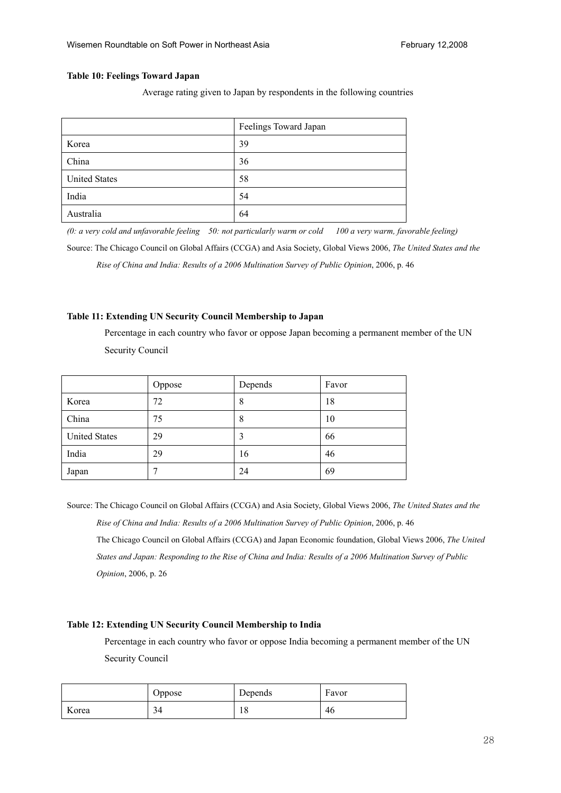#### **Table 10: Feelings Toward Japan**

Average rating given to Japan by respondents in the following countries

|                      | Feelings Toward Japan |
|----------------------|-----------------------|
| Korea                | 39                    |
| China                | 36                    |
| <b>United States</b> | 58                    |
| India                | 54                    |
| Australia            | 64                    |

*(0: a very cold and unfavorable feeling 50: not particularly warm or cold 100 a very warm, favorable feeling)*  Source: The Chicago Council on Global Affairs (CCGA) and Asia Society, Global Views 2006, *The United States and the Rise of China and India: Results of a 2006 Multination Survey of Public Opinion*, 2006, p. 46

#### **Table 11: Extending UN Security Council Membership to Japan**

Percentage in each country who favor or oppose Japan becoming a permanent member of the UN Security Council

|                      | Oppose       | Depends | Favor |
|----------------------|--------------|---------|-------|
| Korea                | 72           | 8       | 18    |
| China                | 75           | 8       | 10    |
| <b>United States</b> | 29           |         | 66    |
| India                | 29           | 16      | 46    |
| Japan                | $\mathbf{r}$ | 24      | 69    |

Source: The Chicago Council on Global Affairs (CCGA) and Asia Society, Global Views 2006, *The United States and the Rise of China and India: Results of a 2006 Multination Survey of Public Opinion*, 2006, p. 46 The Chicago Council on Global Affairs (CCGA) and Japan Economic foundation, Global Views 2006, *The United States and Japan: Responding to the Rise of China and India: Results of a 2006 Multination Survey of Public Opinion*, 2006, p. 26

# **Table 12: Extending UN Security Council Membership to India**

Percentage in each country who favor or oppose India becoming a permanent member of the UN Security Council

|       | Oppose | Depends        | Favor |
|-------|--------|----------------|-------|
| Korea | 34     | $\Omega$<br>10 | 46    |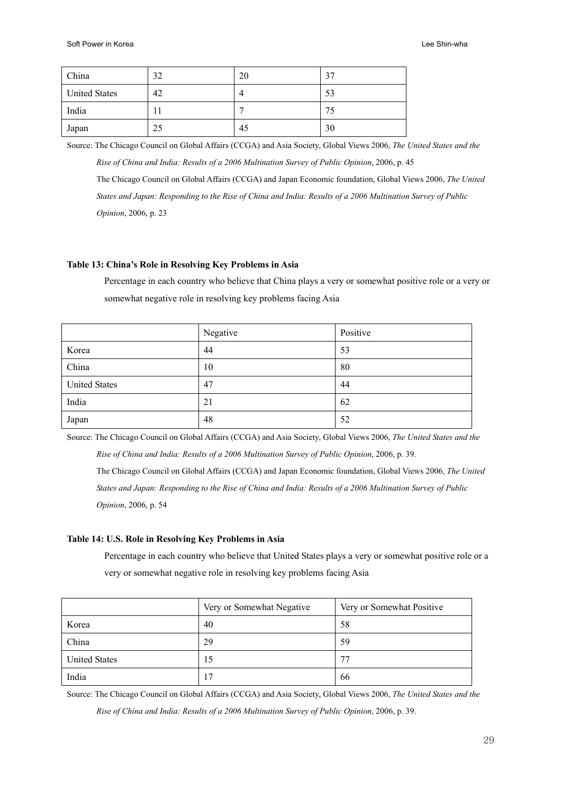| China                | 32  | 20 | $\gamma$  |
|----------------------|-----|----|-----------|
| <b>United States</b> | 42  |    | 53        |
| India                | . . |    | ז ד<br>ل. |
| Japan                | 25  | 45 | 30        |

Source: The Chicago Council on Global Affairs (CCGA) and Asia Society, Global Views 2006, *The United States and the* 

*Rise of China and India: Results of a 2006 Multination Survey of Public Opinion*, 2006, p. 45 The Chicago Council on Global Affairs (CCGA) and Japan Economic foundation, Global Views 2006, *The United States and Japan: Responding to the Rise of China and India: Results of a 2006 Multination Survey of Public Opinion*, 2006, p. 23

### **Table 13: China's Role in Resolving Key Problems in Asia**

Percentage in each country who believe that China plays a very or somewhat positive role or a very or somewhat negative role in resolving key problems facing Asia

|                      | Negative | Positive |
|----------------------|----------|----------|
| Korea                | 44       | 53       |
| China                | 10       | 80       |
| <b>United States</b> | 47       | 44       |
| India                | 21       | 62       |
| Japan                | 48       | 52       |

Source: The Chicago Council on Global Affairs (CCGA) and Asia Society, Global Views 2006, *The United States and the* 

*Rise of China and India: Results of a 2006 Multination Survey of Public Opinion*, 2006, p. 39.

The Chicago Council on Global Affairs (CCGA) and Japan Economic foundation, Global Views 2006, *The United States and Japan: Responding to the Rise of China and India: Results of a 2006 Multination Survey of Public Opinion*, 2006, p. 54

#### **Table 14: U.S. Role in Resolving Key Problems in Asia**

Percentage in each country who believe that United States plays a very or somewhat positive role or a very or somewhat negative role in resolving key problems facing Asia

|                      | Very or Somewhat Negative | Very or Somewhat Positive |
|----------------------|---------------------------|---------------------------|
| Korea                | 40                        | 58                        |
| China                | 29                        | 59                        |
| <b>United States</b> | 15                        | 77                        |
| India                | 17                        | 66                        |

Source: The Chicago Council on Global Affairs (CCGA) and Asia Society, Global Views 2006, *The United States and the* 

*Rise of China and India: Results of a 2006 Multination Survey of Public Opinion*, 2006, p. 39.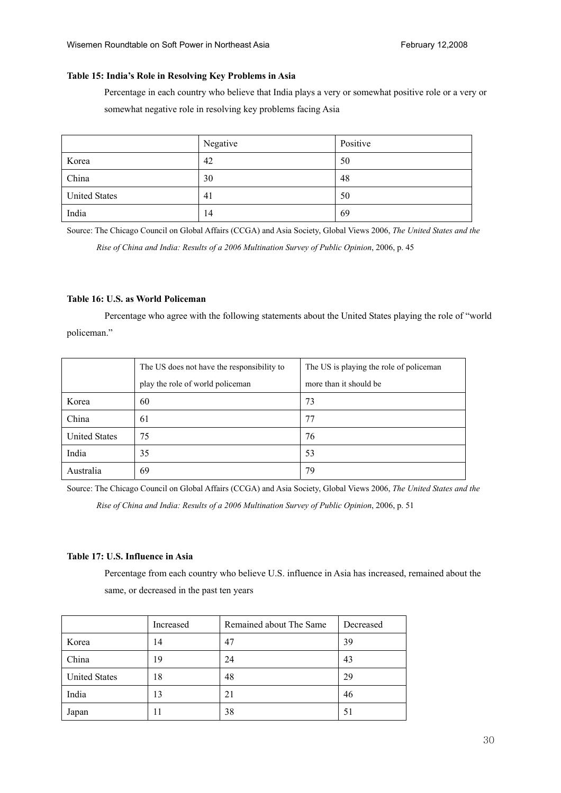# **Table 15: India's Role in Resolving Key Problems in Asia**

Percentage in each country who believe that India plays a very or somewhat positive role or a very or somewhat negative role in resolving key problems facing Asia

|                      | Negative | Positive |
|----------------------|----------|----------|
| Korea                | 42       | 50       |
| China                | 30       | 48       |
| <b>United States</b> | 41       | 50       |
| India                | 14       | 69       |

Source: The Chicago Council on Global Affairs (CCGA) and Asia Society, Global Views 2006, *The United States and the* 

*Rise of China and India: Results of a 2006 Multination Survey of Public Opinion*, 2006, p. 45

### **Table 16: U.S. as World Policeman**

 Percentage who agree with the following statements about the United States playing the role of "world policeman."

|                      | The US does not have the responsibility to | The US is playing the role of policeman |
|----------------------|--------------------------------------------|-----------------------------------------|
|                      | play the role of world policeman           | more than it should be                  |
| Korea                | 60                                         | 73                                      |
| China                | 61                                         | 77                                      |
| <b>United States</b> | 75                                         | 76                                      |
| India                | 35                                         | 53                                      |
| Australia            | 69                                         | 79                                      |

Source: The Chicago Council on Global Affairs (CCGA) and Asia Society, Global Views 2006, *The United States and the Rise of China and India: Results of a 2006 Multination Survey of Public Opinion*, 2006, p. 51

# **Table 17: U.S. Influence in Asia**

Percentage from each country who believe U.S. influence in Asia has increased, remained about the same, or decreased in the past ten years

|                      | Increased | Remained about The Same | Decreased |
|----------------------|-----------|-------------------------|-----------|
| Korea                | 14        | 47                      | 39        |
| China                | 19        | 24                      | 43        |
| <b>United States</b> | 18        | 48                      | 29        |
| India                | 13        | 21                      | 46        |
| Japan                | 11        | 38                      | 51        |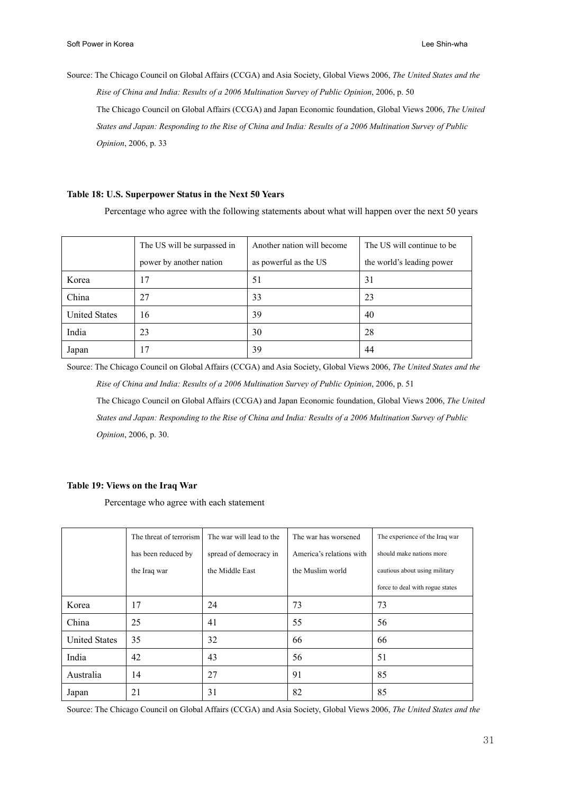Source: The Chicago Council on Global Affairs (CCGA) and Asia Society, Global Views 2006, *The United States and the Rise of China and India: Results of a 2006 Multination Survey of Public Opinion*, 2006, p. 50 The Chicago Council on Global Affairs (CCGA) and Japan Economic foundation, Global Views 2006, *The United States and Japan: Responding to the Rise of China and India: Results of a 2006 Multination Survey of Public Opinion*, 2006, p. 33

### **Table 18: U.S. Superpower Status in the Next 50 Years**

Percentage who agree with the following statements about what will happen over the next 50 years

|                      | The US will be surpassed in | Another nation will become | The US will continue to be |  |
|----------------------|-----------------------------|----------------------------|----------------------------|--|
|                      | power by another nation     | as powerful as the US      | the world's leading power  |  |
| Korea                | 17                          | 51                         | 31                         |  |
| China                | 27                          | 33                         | 23                         |  |
| <b>United States</b> | 16                          | 39                         | 40                         |  |
| India                | 23                          | 30                         | 28                         |  |
| Japan                | 17                          | 39                         | 44                         |  |

Source: The Chicago Council on Global Affairs (CCGA) and Asia Society, Global Views 2006, *The United States and the Rise of China and India: Results of a 2006 Multination Survey of Public Opinion*, 2006, p. 51

The Chicago Council on Global Affairs (CCGA) and Japan Economic foundation, Global Views 2006, *The United States and Japan: Responding to the Rise of China and India: Results of a 2006 Multination Survey of Public Opinion*, 2006, p. 30.

#### **Table 19: Views on the Iraq War**

Percentage who agree with each statement

|                      | The threat of terrorism | The war will lead to the | The war has worsened     | The experience of the Iraq war  |
|----------------------|-------------------------|--------------------------|--------------------------|---------------------------------|
|                      | has been reduced by     | spread of democracy in   | America's relations with | should make nations more        |
|                      | the Iraq war            | the Middle East          | the Muslim world         | cautious about using military   |
|                      |                         |                          |                          | force to deal with rogue states |
| Korea                | 17                      | 24                       | 73                       | 73                              |
| China                | 25                      | 41                       | 55                       | 56                              |
| <b>United States</b> | 35                      | 32                       | 66                       | 66                              |
| India                | 42                      | 43                       | 56                       | 51                              |
| Australia            | 14                      | 27                       | 91                       | 85                              |
| Japan                | 21                      | 31                       | 82                       | 85                              |

Source: The Chicago Council on Global Affairs (CCGA) and Asia Society, Global Views 2006, *The United States and the*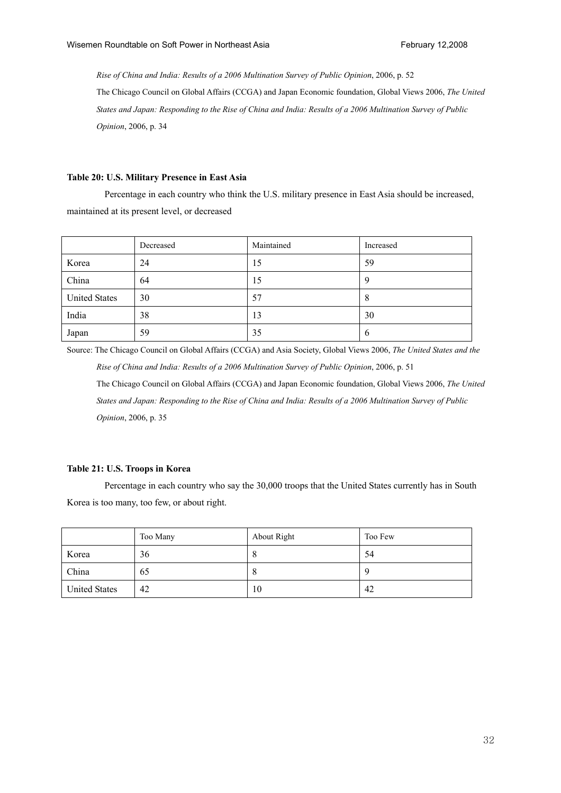*Rise of China and India: Results of a 2006 Multination Survey of Public Opinion*, 2006, p. 52 The Chicago Council on Global Affairs (CCGA) and Japan Economic foundation, Global Views 2006, *The United States and Japan: Responding to the Rise of China and India: Results of a 2006 Multination Survey of Public Opinion*, 2006, p. 34

### **Table 20: U.S. Military Presence in East Asia**

 Percentage in each country who think the U.S. military presence in East Asia should be increased, maintained at its present level, or decreased

|                      | Decreased | Maintained | Increased   |
|----------------------|-----------|------------|-------------|
| Korea                | 24        | 15         | 59          |
| China                | 64        | 15         |             |
| <b>United States</b> | 30        | 57         | 8           |
| India                | 38        | 13         | 30          |
| Japan                | 59        | 35         | $\mathbf b$ |

Source: The Chicago Council on Global Affairs (CCGA) and Asia Society, Global Views 2006, *The United States and the Rise of China and India: Results of a 2006 Multination Survey of Public Opinion*, 2006, p. 51 The Chicago Council on Global Affairs (CCGA) and Japan Economic foundation, Global Views 2006, *The United States and Japan: Responding to the Rise of China and India: Results of a 2006 Multination Survey of Public Opinion*, 2006, p. 35

### **Table 21: U.S. Troops in Korea**

 Percentage in each country who say the 30,000 troops that the United States currently has in South Korea is too many, too few, or about right.

|                      | Too Many | About Right | Too Few |
|----------------------|----------|-------------|---------|
| Korea                | 36       | ο           | 54      |
| China                | 65       |             |         |
| <b>United States</b> | 42       | 10          | 42      |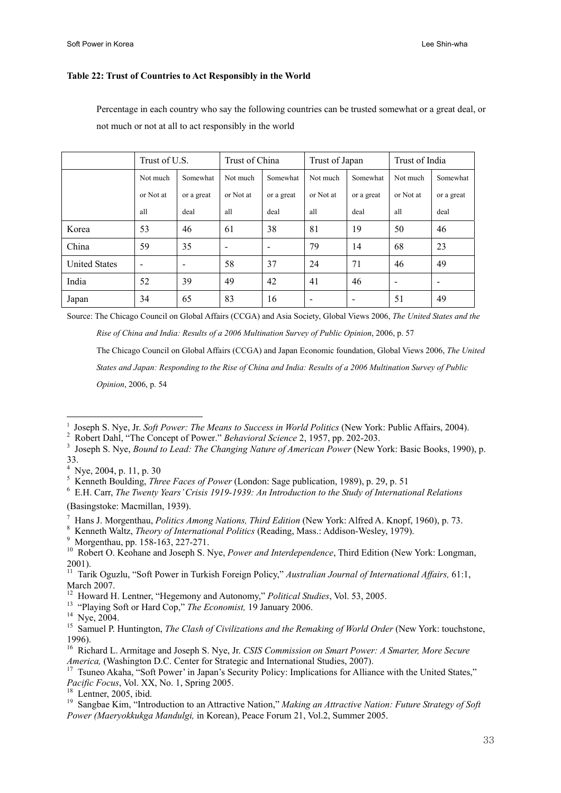#### **Table 22: Trust of Countries to Act Responsibly in the World**

Percentage in each country who say the following countries can be trusted somewhat or a great deal, or not much or not at all to act responsibly in the world

|                      | Trust of U.S.            |            | Trust of China           |                          | Trust of Japan |                          | Trust of India           |                          |
|----------------------|--------------------------|------------|--------------------------|--------------------------|----------------|--------------------------|--------------------------|--------------------------|
|                      | Not much                 | Somewhat   | Not much                 | Somewhat                 | Not much       | Somewhat                 | Not much                 | Somewhat                 |
|                      | or Not at                | or a great | or Not at                | or a great               | or Not at      | or a great               | or Not at                | or a great               |
|                      | all                      | deal       | all                      | deal                     | all            | deal                     | all                      | deal                     |
| Korea                | 53                       | 46         | 61                       | 38                       | 81             | 19                       | 50                       | 46                       |
| China                | 59                       | 35         | $\overline{\phantom{0}}$ | $\overline{\phantom{a}}$ | 79             | 14                       | 68                       | 23                       |
| <b>United States</b> | $\overline{\phantom{a}}$ |            | 58                       | 37                       | 24             | 71                       | 46                       | 49                       |
| India                | 52                       | 39         | 49                       | 42                       | 41             | 46                       | $\overline{\phantom{0}}$ | $\overline{\phantom{0}}$ |
| Japan                | 34                       | 65         | 83                       | 16                       |                | $\overline{\phantom{a}}$ | 51                       | 49                       |

Source: The Chicago Council on Global Affairs (CCGA) and Asia Society, Global Views 2006, *The United States and the* 

*Rise of China and India: Results of a 2006 Multination Survey of Public Opinion*, 2006, p. 57

The Chicago Council on Global Affairs (CCGA) and Japan Economic foundation, Global Views 2006, *The United* 

*States and Japan: Responding to the Rise of China and India: Results of a 2006 Multination Survey of Public* 

*Opinion*, 2006, p. 54

- <sup>2</sup> Robert Dahl, "The Concept of Power." *Behavioral Science* 2, 1957, pp. 202-203.<br><sup>3</sup> Joseph S. Nue, *Bound to Lead: The Changing Nature of American Power* (Naw N
- Joseph S. Nye, *Bound to Lead: The Changing Nature of American Power* (New York: Basic Books, 1990), p. 33. 4
- Nye, 2004, p. 11, p. 30

l

 E.H. Carr, *The Twenty Years' Crisis 1919-1939: An Introduction to the Study of International Relations* (Basingstoke: Macmillan, 1939).

- 7 Hans J. Morgenthau, *Politics Among Nations, Third Edition* (New York: Alfred A. Knopf, 1960), p. 73.
- Kenneth Waltz, *Theory of International Politics* (Reading, Mass.: Addison-Wesley, 1979).
- Morgenthau, pp. 158-163, 227-271.
- <sup>10</sup> Robert O. Keohane and Joseph S. Nye, *Power and Interdependence*, Third Edition (New York: Longman, 2001).

<sup>13</sup> "Playing Soft or Hard Cop," *The Economist*, 19 January 2006.<br><sup>14</sup> Nve. 2004.

<sup>&</sup>lt;sup>1</sup> Joseph S. Nye, Jr. *Soft Power: The Means to Success in World Politics* (New York: Public Affairs, 2004).

External Boulding, *Three Faces of Power* (London: Sage publication, 1989), p. 29, p. 51  $^6$  F.H. Corr. *The Turgatic Council* Club 1020: An Introduction to the Study of Internation

<sup>11</sup> Tarik Oguzlu, "Soft Power in Turkish Foreign Policy," *Australian Journal of International Affairs,* 61:1, March 2007.<br><sup>12</sup> Howard H. Lentner, "Hegemony and Autonomy," *Political Studies*, Vol. 53, 2005.

<sup>&</sup>lt;sup>15</sup> Samuel P. Huntington, *The Clash of Civilizations and the Remaking of World Order* (New York: touchstone, 1996).

<sup>16</sup> Richard L. Armitage and Joseph S. Nye, Jr. *CSIS Commission on Smart Power: A Smarter, More Secure America*, (Washington D.C. Center for Strategic and International Studies, 2007).<br><sup>17</sup> Tsuneo Akaha, "Soft Power' in Japan's Security Policy: Implications for Alliance with the United States,"

*Pacific Focus*, Vol. XX, No. 1, Spring 2005.<br><sup>18</sup> Lentner, 2005, ibid.

<sup>19</sup> Sangbae Kim, "Introduction to an Attractive Nation," *Making an Attractive Nation: Future Strategy of Soft Power (Maeryokkukga Mandulgi,* in Korean), Peace Forum 21, Vol.2, Summer 2005.